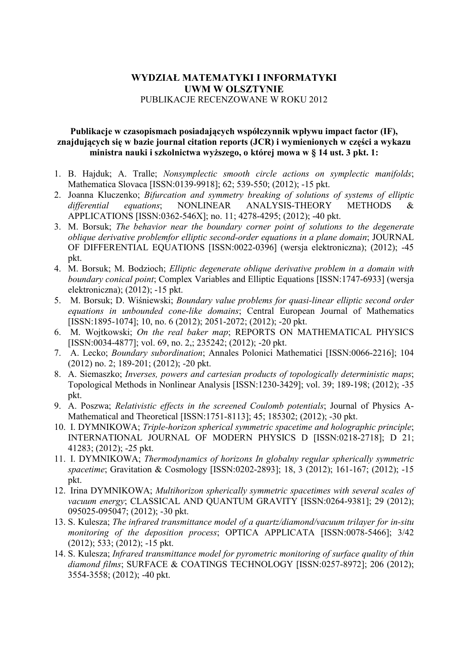# **WYDZIAŁ MATEMATYKI I INFORMATYKI UWM W OLSZTYNIE** PUBLIKACJE RECENZOWANE W ROKU 2012

### **Publikacje w czasopismach posiadających współczynnik wpływu impact factor (IF), znajdujących się w bazie journal citation reports (JCR) i wymienionych w części a wykazu**  ministra nauki i szkolnictwa wyższego, o której mowa w § 14 ust. 3 pkt. 1:

- 1. B. Hajduk; A. Tralle; *Nonsymplectic smooth circle actions on symplectic manifolds*; Mathematica Slovaca [ISSN:0139-9918]; 62; 539-550; (2012); -15 pkt.
- 2. Joanna Kluczenko; *Bifurcation and symmetry breaking of solutions of systems of elliptic differential equations*; NONLINEAR ANALYSIS-THEORY METHODS & APPLICATIONS [ISSN:0362-546X]; no. 11; 4278-4295; (2012); -40 pkt.
- 3. M. Borsuk; *The behavior near the boundary corner point of solutions to the degenerate oblique derivative problemfor elliptic second-order equations in a plane domain*; JOURNAL OF DIFFERENTIAL EQUATIONS [ISSN:0022-0396] (wersja elektroniczna); (2012); -45 pkt.
- 4. M. Borsuk; M. Bodzioch; *Elliptic degenerate oblique derivative problem in a domain with boundary conical point*; Complex Variables and Elliptic Equations [ISSN:1747-6933] (wersja elektroniczna); (2012); -15 pkt.
- 5. M. Borsuk; D. Wiśniewski; *Boundary value problems for quasi-linear elliptic second order equations in unbounded cone-like domains*; Central European Journal of Mathematics [ISSN:1895-1074]; 10, no. 6 (2012); 2051-2072; (2012); -20 pkt.
- 6. M. Wojtkowski; *On the real baker map*; REPORTS ON MATHEMATICAL PHYSICS [ISSN:0034-4877]; vol. 69, no. 2,; 235242; (2012); -20 pkt.
- 7. A. Lecko; *Boundary subordination*; Annales Polonici Mathematici [ISSN:0066-2216]; 104 (2012) no. 2; 189-201; (2012); -20 pkt.
- 8. A. Siemaszko; *Inverses, powers and cartesian products of topologically deterministic maps*; Topological Methods in Nonlinear Analysis [ISSN:1230-3429]; vol. 39; 189-198; (2012); -35 pkt.
- 9. A. Poszwa; *Relativistic effects in the screened Coulomb potentials*; Journal of Physics A-Mathematical and Theoretical [ISSN:1751-8113]; 45; 185302; (2012); -30 pkt.
- 10. I. DYMNIKOWA; *Triple-horizon spherical symmetric spacetime and holographic principle*; INTERNATIONAL JOURNAL OF MODERN PHYSICS D [ISSN:0218-2718]; D 21; 41283; (2012); -25 pkt.
- 11. I. DYMNIKOWA; *Thermodynamics of horizons In globalny regular spherically symmetric spacetime*; Gravitation & Cosmology [ISSN:0202-2893]; 18, 3 (2012); 161-167; (2012); -15 pkt.
- 12. Irina DYMNIKOWA; *Multihorizon spherically symmetric spacetimes with several scales of vacuum energy*; CLASSICAL AND QUANTUM GRAVITY [ISSN:0264-9381]; 29 (2012); 095025-095047; (2012); -30 pkt.
- 13. S. Kulesza; *The infrared transmittance model of a quartz/diamond/vacuum trilayer for in-situ monitoring of the deposition process*; OPTICA APPLICATA [ISSN:0078-5466]; 3/42 (2012); 533; (2012); -15 pkt.
- 14. S. Kulesza; *Infrared transmittance model for pyrometric monitoring of surface quality of thin diamond films*; SURFACE & COATINGS TECHNOLOGY [ISSN:0257-8972]; 206 (2012); 3554-3558; (2012); -40 pkt.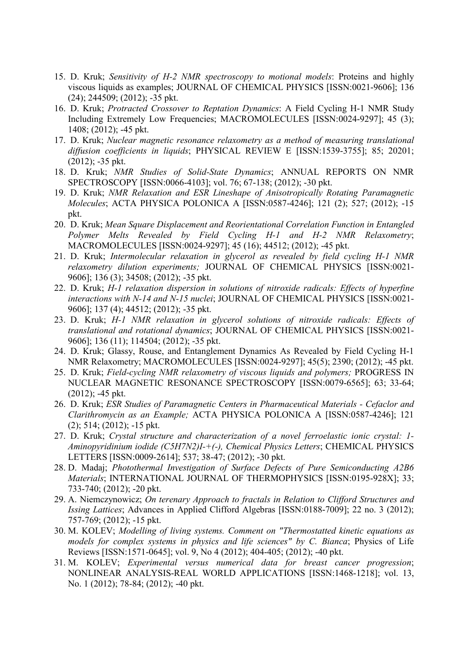- 15. D. Kruk; *Sensitivity of H-2 NMR spectroscopy to motional models*: Proteins and highly viscous liquids as examples; JOURNAL OF CHEMICAL PHYSICS [ISSN:0021-9606]; 136 (24); 244509; (2012); -35 pkt.
- 16. D. Kruk; *Protracted Crossover to Reptation Dynamics*: A Field Cycling H-1 NMR Study Including Extremely Low Frequencies; MACROMOLECULES [ISSN:0024-9297]; 45 (3); 1408; (2012); -45 pkt.
- 17. D. Kruk; *Nuclear magnetic resonance relaxometry as a method of measuring translational diffusion coefficients in liquids*; PHYSICAL REVIEW E [ISSN:1539-3755]; 85; 20201;  $(2012)$ ; -35 pkt.
- 18. D. Kruk; *NMR Studies of Solid-State Dynamics*; ANNUAL REPORTS ON NMR SPECTROSCOPY [ISSN:0066-4103]; vol. 76; 67-138; (2012); -30 pkt.
- 19. D. Kruk; *NMR Relaxation and ESR Lineshape of Anisotropically Rotating Paramagnetic Molecules*; ACTA PHYSICA POLONICA A [ISSN:0587-4246]; 121 (2); 527; (2012); -15 pkt.
- 20. D. Kruk; *Mean Square Displacement and Reorientational Correlation Function in Entangled Polymer Melts Revealed by Field Cycling H-1 and H-2 NMR Relaxometry*; MACROMOLECULES [ISSN:0024-9297]; 45 (16); 44512; (2012); -45 pkt.
- 21. D. Kruk; *Intermolecular relaxation in glycerol as revealed by field cycling H-1 NMR relaxometry dilution experiments;* JOURNAL OF CHEMICAL PHYSICS [ISSN:0021- 9606]; 136 (3); 34508; (2012); -35 pkt.
- 22. D. Kruk; *H-1 relaxation dispersion in solutions of nitroxide radicals: Effects of hyperfine interactions with N-14 and N-15 nuclei*; JOURNAL OF CHEMICAL PHYSICS [ISSN:0021- 9606]; 137 (4); 44512; (2012); -35 pkt.
- 23. D. Kruk; *H-1 NMR relaxation in glycerol solutions of nitroxide radicals: Effects of translational and rotational dynamics*; JOURNAL OF CHEMICAL PHYSICS [ISSN:0021- 9606]; 136 (11); 114504; (2012); -35 pkt.
- 24. D. Kruk; Glassy, Rouse, and Entanglement Dynamics As Revealed by Field Cycling H-1 NMR Relaxometry; MACROMOLECULES [ISSN:0024-9297]; 45(5); 2390; (2012); -45 pkt.
- 25. D. Kruk; *Field-cycling NMR relaxometry of viscous liquids and polymers;* PROGRESS IN NUCLEAR MAGNETIC RESONANCE SPECTROSCOPY [ISSN:0079-6565]; 63; 33-64;  $(2012)$ ; -45 pkt.
- 26. D. Kruk; *ESR Studies of Paramagnetic Centers in Pharmaceutical Materials Cefaclor and Clarithromycin as an Example;* ACTA PHYSICA POLONICA A [ISSN:0587-4246]; 121 (2); 514; (2012); -15 pkt.
- 27. D. Kruk; *Crystal structure and characterization of a novel ferroelastic ionic crystal: 1- Aminopyridinium iodide (C5H7N2)I-+(-), Chemical Physics Letters*; CHEMICAL PHYSICS LETTERS [ISSN:0009-2614]; 537; 38-47; (2012); -30 pkt.
- 28. D. Madaj; *Photothermal Investigation of Surface Defects of Pure Semiconducting A2B6 Materials*; INTERNATIONAL JOURNAL OF THERMOPHYSICS [ISSN:0195-928X]; 33; 733-740; (2012); -20 pkt.
- 29. A. Niemczynowicz; *On terenary Approach to fractals in Relation to Clifford Structures and Issing Lattices*; Advances in Applied Clifford Algebras [ISSN:0188-7009]; 22 no. 3 (2012); 757-769; (2012); -15 pkt.
- 30. M. KOLEV; *Modelling of living systems. Comment on "Thermostatted kinetic equations as models for complex systems in physics and life sciences" by C. Bianca*; Physics of Life Reviews [ISSN:1571-0645]; vol. 9, No 4 (2012); 404-405; (2012); -40 pkt.
- 31. M. KOLEV; *Experimental versus numerical data for breast cancer progression*; NONLINEAR ANALYSIS-REAL WORLD APPLICATIONS [ISSN:1468-1218]; vol. 13, No. 1 (2012); 78-84; (2012); -40 pkt.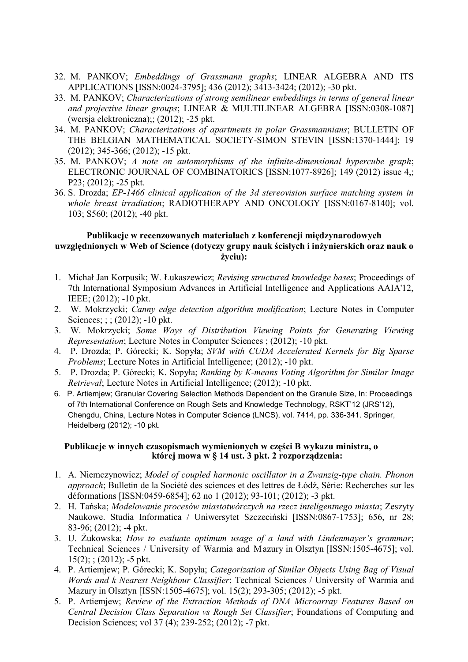- 32. M. PANKOV; *Embeddings of Grassmann graphs*; LINEAR ALGEBRA AND ITS APPLICATIONS [ISSN:0024-3795]; 436 (2012); 3413-3424; (2012); -30 pkt.
- 33. M. PANKOV; *Characterizations of strong semilinear embeddings in terms of general linear and projective linear groups*; LINEAR & MULTILINEAR ALGEBRA [ISSN:0308-1087] (wersja elektroniczna);; (2012); -25 pkt.
- 34. M. PANKOV; *Characterizations of apartments in polar Grassmannians*; BULLETIN OF THE BELGIAN MATHEMATICAL SOCIETY-SIMON STEVIN [ISSN:1370-1444]; 19 (2012); 345-366; (2012); -15 pkt.
- 35. M. PANKOV; *A note on automorphisms of the infinite-dimensional hypercube graph*; ELECTRONIC JOURNAL OF COMBINATORICS [ISSN:1077-8926]; 149 (2012) issue 4,; P23; (2012); -25 pkt.
- 36. S. Drozda; *EP-1466 clinical application of the 3d stereovision surface matching system in whole breast irradiation*; RADIOTHERAPY AND ONCOLOGY [ISSN:0167-8140]; vol. 103; S560; (2012); -40 pkt.

### **Publikacje w recenzowanych materiałach z konferencji międzynarodowych uwzględnionych w Web of Science (dotyczy grupy nauk ścisłych i inŜynierskich oraz nauk o**   $\dot{z}$ vciu):

- 1. Michał Jan Korpusik; W. Łukaszewicz; *Revising structured knowledge bases*; Proceedings of 7th International Symposium Advances in Artificial Intelligence and Applications AAIA'12, IEEE; (2012); -10 pkt.
- 2. W. Mokrzycki; *Canny edge detection algorithm modification*; Lecture Notes in Computer Sciences; ; ; (2012); -10 pkt.
- 3. W. Mokrzycki; *Some Ways of Distribution Viewing Points for Generating Viewing Representation*; Lecture Notes in Computer Sciences ; (2012); -10 pkt.
- 4. P. Drozda; P. Górecki; K. Sopyła; *SVM with CUDA Accelerated Kernels for Big Sparse Problems*; Lecture Notes in Artificial Intelligence; (2012); -10 pkt.
- 5. P. Drozda; P. Górecki; K. Sopyła; *Ranking by K-means Voting Algorithm for Similar Image Retrieval*; Lecture Notes in Artificial Intelligence; (2012); -10 pkt.
- 6. P. Artiemjew; Granular Covering Selection Methods Dependent on the Granule Size, In: Proceedings of 7th International Conference on Rough Sets and Knowledge Technology, RSKT'12 (JRS'12), Chengdu, China, Lecture Notes in Computer Science (LNCS), vol. 7414, pp. 336-341. Springer, Heidelberg (2012); -10 pkt.

#### **Publikacje w innych czasopismach wymienionych w części B wykazu ministra, o której mowa w § 14 ust. 3 pkt. 2 rozporządzenia:**

- 1. A. Niemczynowicz; *Model of coupled harmonic oscillator in a Zwanzig-type chain. Phonon approach*; Bulletin de la Société des sciences et des lettres de Łódź, Série: Recherches sur les déformations [ISSN:0459-6854]; 62 no 1 (2012); 93-101; (2012); -3 pkt.
- 2. H. Tańska; *Modelowanie procesów miastotwórczych na rzecz inteligentnego miasta*; Zeszyty Naukowe. Studia Informatica / Uniwersytet Szczeciński [ISSN:0867-1753]; 656, nr 28; 83-96; (2012); -4 pkt.
- 3. U. śukowska; *How to evaluate optimum usage of a land with Lindenmayer's grammar*; Technical Sciences / University of Warmia and Mazury in Olsztyn [ISSN:1505-4675]; vol.  $15(2)$ ; ; (2012); -5 pkt.
- 4. P. Artiemjew; P. Górecki; K. Sopyła; *Categorization of Similar Objects Using Bag of Visual Words and k Nearest Neighbour Classifier*; Technical Sciences / University of Warmia and Mazury in Olsztyn [ISSN:1505-4675]; vol. 15(2); 293-305; (2012); -5 pkt.
- 5. P. Artiemjew; *Review of the Extraction Methods of DNA Microarray Features Based on Central Decision Class Separation vs Rough Set Classifier*; Foundations of Computing and Decision Sciences; vol 37 (4); 239-252; (2012); -7 pkt.